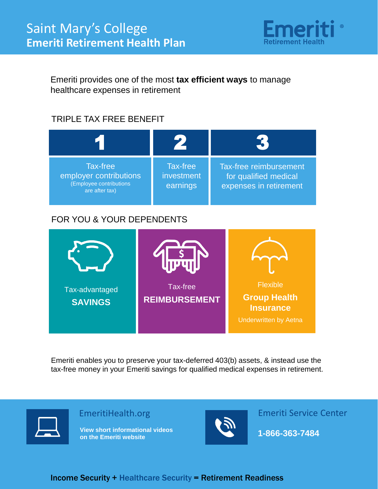

Emeriti provides one of the most **tax efficient ways** to manage healthcare expenses in retirement

## TRIPLE TAX FREE BENEFIT



#### FOR YOU & YOUR DEPENDENTS



Emeriti enables you to preserve your tax-deferred 403(b) assets, & instead use the tax-free money in your Emeriti savings for qualified medical expenses in retirement.



Income Security + Healthcare Security = Retirement Readiness